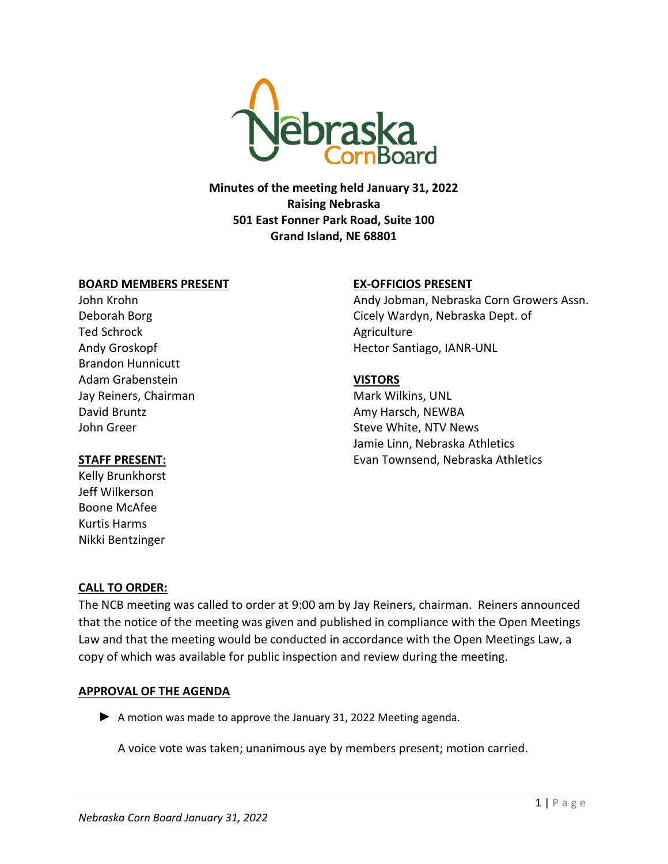

**Minutes of the meeting held January 31, 2022 Raising Nebraska 501 East Fonner Park Road, Suite 100 Grand Island, NE 68801**

#### **BOARD MEMBERS PRESENT**

John Krohn Deborah Borg Ted Schrock Andy Groskopf Brandon Hunnicutt Adam Grabenstein Jay Reiners, Chairman David Bruntz John Greer

#### **STAFF PRESENT:**

Kelly Brunkhorst Jeff Wilkerson Boone McAfee Kurtis Harms Nikki Bentzinger

# **EX-OFFICIOS PRESENT**

Andy Jobman, Nebraska Corn Growers Assn. Cicely Wardyn, Nebraska Dept. of **Agriculture** Hector Santiago, IANR-UNL

# **VISTORS**

Mark Wilkins, UNL Amy Harsch, NEWBA Steve White, NTV News Jamie Linn, Nebraska Athletics Evan Townsend, Nebraska Athletics

# **CALL TO ORDER:**

The NCB meeting was called to order at 9:00 am by Jay Reiners, chairman. Reiners announced that the notice of the meeting was given and published in compliance with the Open Meetings Law and that the meeting would be conducted in accordance with the Open Meetings Law, a copy of which was available for public inspection and review during the meeting.

# **APPROVAL OF THE AGENDA**

▶ A motion was made to approve the January 31, 2022 Meeting agenda.

A voice vote was taken; unanimous aye by members present; motion carried.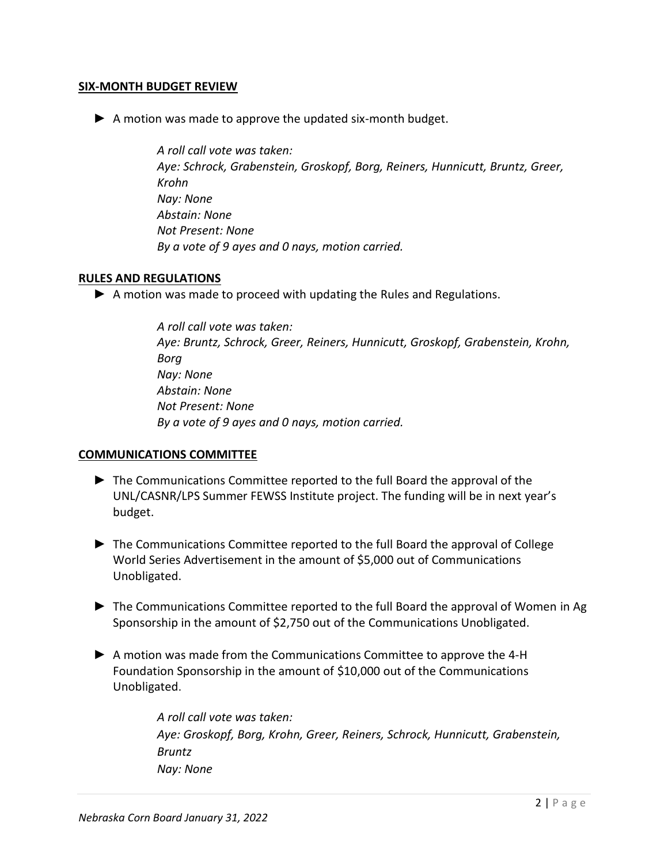#### **SIX-MONTH BUDGET REVIEW**

▶ A motion was made to approve the updated six-month budget.

*A roll call vote was taken: Aye: Schrock, Grabenstein, Groskopf, Borg, Reiners, Hunnicutt, Bruntz, Greer, Krohn Nay: None Abstain: None Not Present: None By a vote of 9 ayes and 0 nays, motion carried.* 

#### **RULES AND REGULATIONS**

► A motion was made to proceed with updating the Rules and Regulations.

*A roll call vote was taken: Aye: Bruntz, Schrock, Greer, Reiners, Hunnicutt, Groskopf, Grabenstein, Krohn, Borg Nay: None Abstain: None Not Present: None By a vote of 9 ayes and 0 nays, motion carried.*

# **COMMUNICATIONS COMMITTEE**

- ► The Communications Committee reported to the full Board the approval of the UNL/CASNR/LPS Summer FEWSS Institute project. The funding will be in next year's budget.
- ► The Communications Committee reported to the full Board the approval of College World Series Advertisement in the amount of \$5,000 out of Communications Unobligated.
- ► The Communications Committee reported to the full Board the approval of Women in Ag Sponsorship in the amount of \$2,750 out of the Communications Unobligated.
- ► A motion was made from the Communications Committee to approve the 4-H Foundation Sponsorship in the amount of \$10,000 out of the Communications Unobligated.

*A roll call vote was taken: Aye: Groskopf, Borg, Krohn, Greer, Reiners, Schrock, Hunnicutt, Grabenstein, Bruntz Nay: None*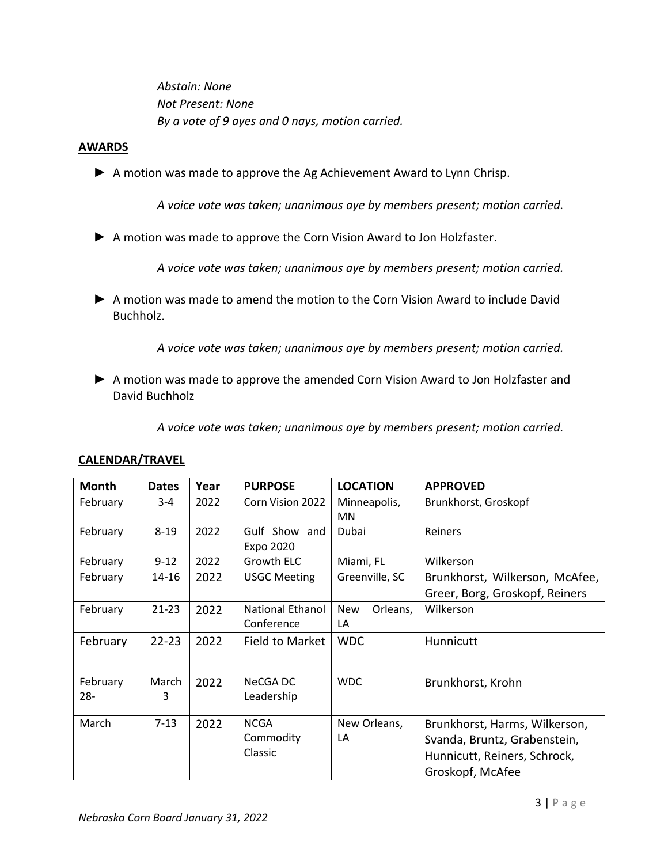*Abstain: None Not Present: None By a vote of 9 ayes and 0 nays, motion carried.*

#### **AWARDS**

▶ A motion was made to approve the Ag Achievement Award to Lynn Chrisp.

*A voice vote was taken; unanimous aye by members present; motion carried.* 

▶ A motion was made to approve the Corn Vision Award to Jon Holzfaster.

*A voice vote was taken; unanimous aye by members present; motion carried.* 

► A motion was made to amend the motion to the Corn Vision Award to include David Buchholz.

*A voice vote was taken; unanimous aye by members present; motion carried.* 

► A motion was made to approve the amended Corn Vision Award to Jon Holzfaster and David Buchholz

*A voice vote was taken; unanimous aye by members present; motion carried.* 

| <b>Month</b> | <b>Dates</b> | Year | <b>PURPOSE</b>          | <b>LOCATION</b>        | <b>APPROVED</b>                |
|--------------|--------------|------|-------------------------|------------------------|--------------------------------|
| February     | $3 - 4$      | 2022 | Corn Vision 2022        | Minneapolis,           | Brunkhorst, Groskopf           |
|              |              |      |                         | <b>MN</b>              |                                |
| February     | $8 - 19$     | 2022 | Gulf Show and           | Dubai                  | Reiners                        |
|              |              |      | Expo 2020               |                        |                                |
| February     | $9 - 12$     | 2022 | Growth ELC              | Miami, FL              | Wilkerson                      |
| February     | 14-16        | 2022 | <b>USGC Meeting</b>     | Greenville, SC         | Brunkhorst, Wilkerson, McAfee, |
|              |              |      |                         |                        | Greer, Borg, Groskopf, Reiners |
| February     | $21-23$      | 2022 | <b>National Ethanol</b> | <b>New</b><br>Orleans, | Wilkerson                      |
|              |              |      | Conference              | LA                     |                                |
| February     | $22 - 23$    | 2022 | Field to Market         | <b>WDC</b>             | Hunnicutt                      |
|              |              |      |                         |                        |                                |
|              |              |      |                         |                        |                                |
| February     | March        | 2022 | NeCGA DC                | <b>WDC</b>             | Brunkhorst, Krohn              |
| $28 -$       | 3            |      | Leadership              |                        |                                |
| March        | $7 - 13$     | 2022 | <b>NCGA</b>             | New Orleans,           | Brunkhorst, Harms, Wilkerson,  |
|              |              |      | Commodity               | LA                     | Svanda, Bruntz, Grabenstein,   |
|              |              |      | Classic                 |                        |                                |
|              |              |      |                         |                        | Hunnicutt, Reiners, Schrock,   |
|              |              |      |                         |                        | Groskopf, McAfee               |

#### **CALENDAR/TRAVEL**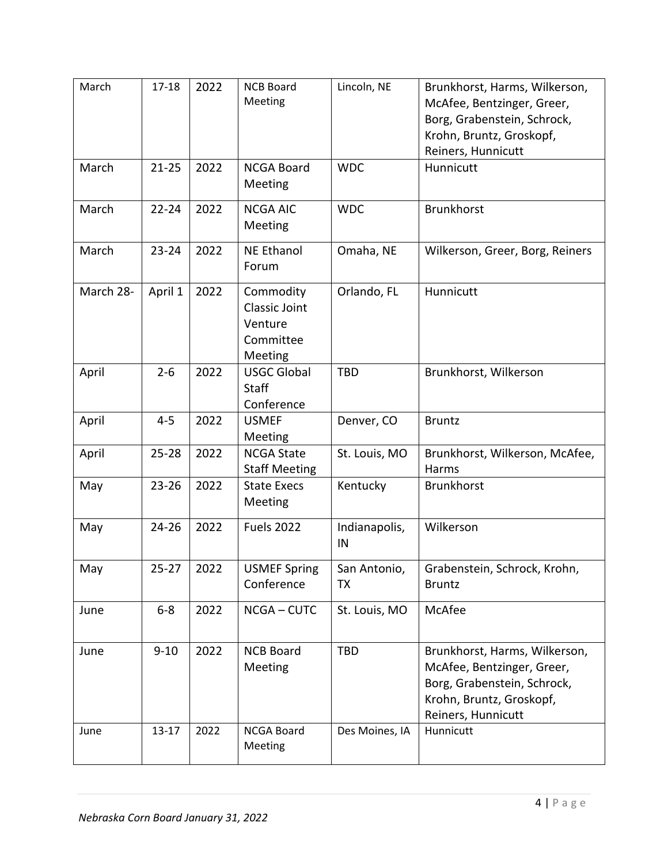| March     | $17 - 18$  | 2022 | <b>NCB Board</b><br>Meeting                                   | Lincoln, NE         | Brunkhorst, Harms, Wilkerson,<br>McAfee, Bentzinger, Greer,<br>Borg, Grabenstein, Schrock,<br>Krohn, Bruntz, Groskopf,<br>Reiners, Hunnicutt |
|-----------|------------|------|---------------------------------------------------------------|---------------------|----------------------------------------------------------------------------------------------------------------------------------------------|
| March     | $21 - 25$  | 2022 | <b>NCGA Board</b><br>Meeting                                  | <b>WDC</b>          | Hunnicutt                                                                                                                                    |
| March     | $22 - 24$  | 2022 | <b>NCGA AIC</b><br>Meeting                                    | <b>WDC</b>          | <b>Brunkhorst</b>                                                                                                                            |
| March     | $23 - 24$  | 2022 | <b>NE Ethanol</b><br>Forum                                    | Omaha, NE           | Wilkerson, Greer, Borg, Reiners                                                                                                              |
| March 28- | April 1    | 2022 | Commodity<br>Classic Joint<br>Venture<br>Committee<br>Meeting | Orlando, FL         | Hunnicutt                                                                                                                                    |
| April     | $2 - 6$    | 2022 | <b>USGC Global</b><br>Staff<br>Conference                     | <b>TBD</b>          | Brunkhorst, Wilkerson                                                                                                                        |
| April     | $4 - 5$    | 2022 | <b>USMEF</b><br>Meeting                                       | Denver, CO          | <b>Bruntz</b>                                                                                                                                |
| April     | $25 - 28$  | 2022 | <b>NCGA State</b><br><b>Staff Meeting</b>                     | St. Louis, MO       | Brunkhorst, Wilkerson, McAfee,<br>Harms                                                                                                      |
| May       | $23 - 26$  | 2022 | <b>State Execs</b><br>Meeting                                 | Kentucky            | <b>Brunkhorst</b>                                                                                                                            |
| May       | $24 - 26$  | 2022 | <b>Fuels 2022</b>                                             | Indianapolis,<br>IN | Wilkerson                                                                                                                                    |
| May       | 25-27 2022 |      | <b>USMEF Spring</b><br>Conference                             | San Antonio,<br>TX  | Grabenstein, Schrock, Krohn,<br><b>Bruntz</b>                                                                                                |
| June      | $6-8$      | 2022 | NCGA-CUTC                                                     | St. Louis, MO       | McAfee                                                                                                                                       |
| June      | $9 - 10$   | 2022 | <b>NCB Board</b><br>Meeting                                   | TBD                 | Brunkhorst, Harms, Wilkerson,<br>McAfee, Bentzinger, Greer,<br>Borg, Grabenstein, Schrock,<br>Krohn, Bruntz, Groskopf,<br>Reiners, Hunnicutt |
| June      | $13 - 17$  | 2022 | <b>NCGA Board</b><br>Meeting                                  | Des Moines, IA      | Hunnicutt                                                                                                                                    |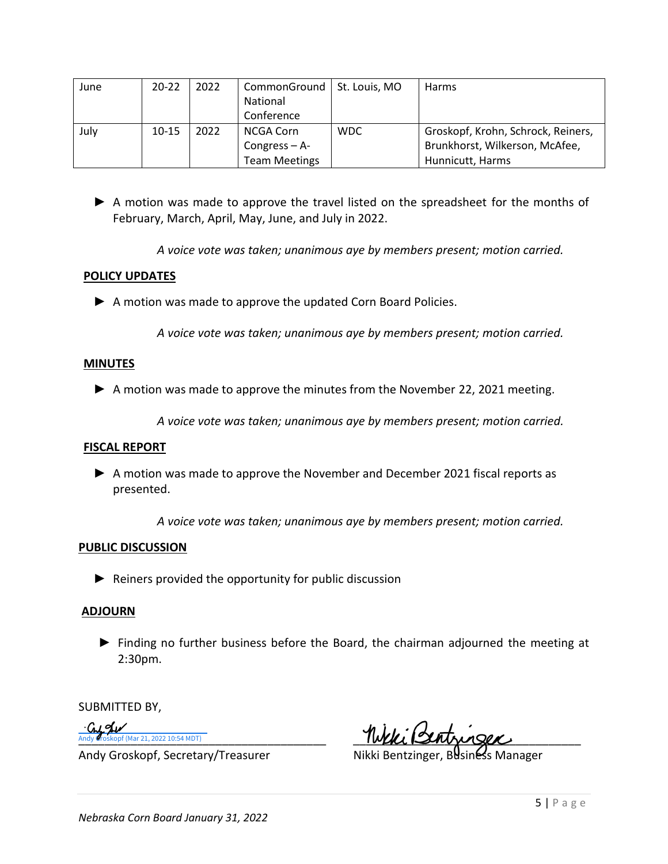| June | $20 - 22$ | 2022 | CommonGround   St. Louis, MO<br>National<br>Conference |            | Harms                              |
|------|-----------|------|--------------------------------------------------------|------------|------------------------------------|
| July | $10 - 15$ | 2022 | NCGA Corn                                              | <b>WDC</b> | Groskopf, Krohn, Schrock, Reiners, |
|      |           |      | Congress $-$ A-                                        |            | Brunkhorst, Wilkerson, McAfee,     |
|      |           |      | <b>Team Meetings</b>                                   |            | Hunnicutt, Harms                   |

► A motion was made to approve the travel listed on the spreadsheet for the months of February, March, April, May, June, and July in 2022.

*A voice vote was taken; unanimous aye by members present; motion carried.*

# **POLICY UPDATES**

▶ A motion was made to approve the updated Corn Board Policies.

*A voice vote was taken; unanimous aye by members present; motion carried.* 

# **MINUTES**

▶ A motion was made to approve the minutes from the November 22, 2021 meeting.

*A voice vote was taken; unanimous aye by members present; motion carried.*

# **FISCAL REPORT**

► A motion was made to approve the November and December 2021 fiscal reports as presented.

*A voice vote was taken; unanimous aye by members present; motion carried.*

# **PUBLIC DISCUSSION**

 $\blacktriangleright$  Reiners provided the opportunity for public discussion

# **ADJOURN**

► Finding no further business before the Board, the chairman adjourned the meeting at 2:30pm.

SUBMITTED BY,

Culder Andy Groskopf (Mar 21, 2022 10:54 MDT)

Andy Groskopf, Secretary/Treasurer Nikki Bentzinger, Business Manager

Andy  $\ell$ roskopf (Mar 21, 2022 10:54 MDT)